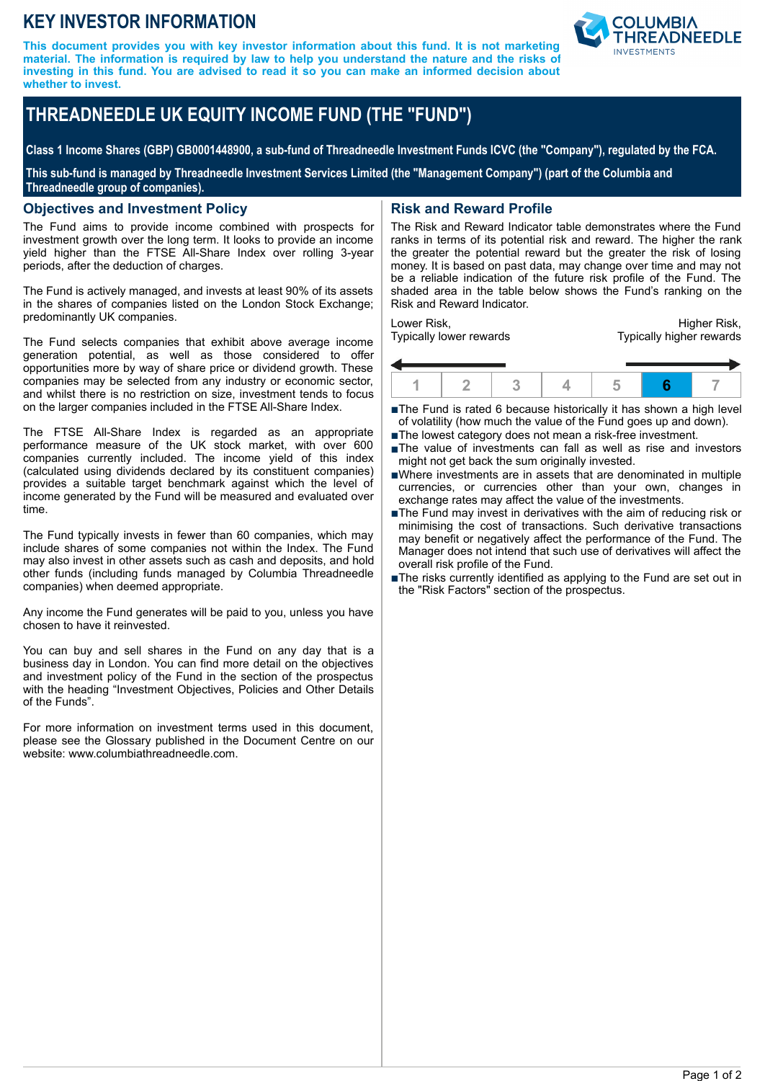# **KEY INVESTOR INFORMATION**

**This document provides you with key investor information about this fund. It is not marketing material. The information is required by law to help you understand the nature and the risks of investing in this fund. You are advised to read it so you can make an informed decision about whether to invest.**



# **THREADNEEDLE UK EQUITY INCOME FUND (THE "FUND")**

**Class 1 Income Shares (GBP) GB0001448900, a sub-fund of Threadneedle Investment Funds ICVC (the "Company"), regulated by the FCA.**

**This sub-fund is managed by Threadneedle Investment Services Limited (the "Management Company") (part of the Columbia and Threadneedle group of companies).**

### **Objectives and Investment Policy**

The Fund aims to provide income combined with prospects for investment growth over the long term. It looks to provide an income yield higher than the FTSE All-Share Index over rolling 3-year periods, after the deduction of charges.

The Fund is actively managed, and invests at least 90% of its assets in the shares of companies listed on the London Stock Exchange; predominantly UK companies.

The Fund selects companies that exhibit above average income generation potential, as well as those considered to offer opportunities more by way of share price or dividend growth. These companies may be selected from any industry or economic sector, and whilst there is no restriction on size, investment tends to focus on the larger companies included in the FTSE All-Share Index.

The FTSE All-Share Index is regarded as an appropriate performance measure of the UK stock market, with over 600 companies currently included. The income yield of this index (calculated using dividends declared by its constituent companies) provides a suitable target benchmark against which the level of income generated by the Fund will be measured and evaluated over time.

The Fund typically invests in fewer than 60 companies, which may include shares of some companies not within the Index. The Fund may also invest in other assets such as cash and deposits, and hold other funds (including funds managed by Columbia Threadneedle companies) when deemed appropriate.

Any income the Fund generates will be paid to you, unless you have chosen to have it reinvested.

You can buy and sell shares in the Fund on any day that is a business day in London. You can find more detail on the objectives and investment policy of the Fund in the section of the prospectus with the heading "Investment Objectives, Policies and Other Details of the Funds".

For more information on investment terms used in this document, please see the Glossary published in the Document Centre on our website: www.columbiathreadneedle.com.

# **Risk and Reward Profile**

The Risk and Reward Indicator table demonstrates where the Fund ranks in terms of its potential risk and reward. The higher the rank the greater the potential reward but the greater the risk of losing money. It is based on past data, may change over time and may not be a reliable indication of the future risk profile of the Fund. The shaded area in the table below shows the Fund's ranking on the Risk and Reward Indicator.

Lower Risk, Typically lower rewards

Higher Risk, Typically higher rewards



■The Fund is rated 6 because historically it has shown a high level of volatility (how much the value of the Fund goes up and down).

- ■The lowest category does not mean a risk-free investment.
- nThe value of investments can fall as well as rise and investors might not get back the sum originally invested.
- nWhere investments are in assets that are denominated in multiple currencies, or currencies other than your own, changes in exchange rates may affect the value of the investments.
- ■The Fund may invest in derivatives with the aim of reducing risk or minimising the cost of transactions. Such derivative transactions may benefit or negatively affect the performance of the Fund. The Manager does not intend that such use of derivatives will affect the overall risk profile of the Fund.
- The risks currently identified as applying to the Fund are set out in the "Risk Factors" section of the prospectus.